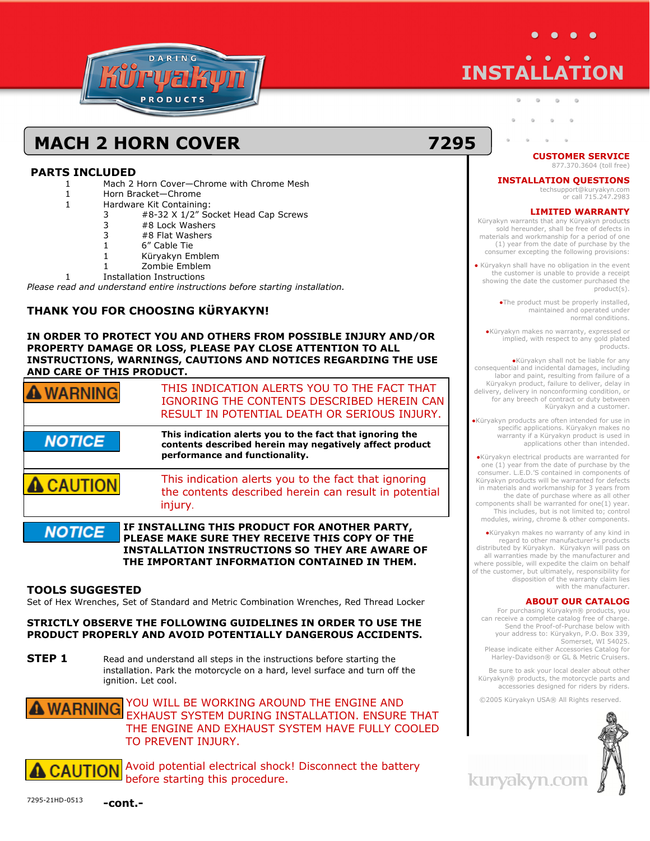

# MACH 2 HORN COVER **1995**

## **PARTS INCLUDED**

- 1 Mach 2 Horn Cover—Chrome with Chrome Mesh
- 1 Horn Bracket—Chrome
- 1 Hardware Kit Containing:
	- 3 #8-32 X 1/2" Socket Head Cap Screws
	- 3 #8 Lock Washers
	- 3 #8 Flat Washers
	- 1 6" Cable Tie
	- 1 Küryakyn Emblem
	- 1 Zombie Emblem
- 1 Installation Instructions

*Please read and understand entire instructions before starting installation.* 

## **THANK YOU FOR CHOOSING KϋRYAKYN!**

**IN ORDER TO PROTECT YOU AND OTHERS FROM POSSIBLE INJURY AND/OR PROPERTY DAMAGE OR LOSS, PLEASE PAY CLOSE ATTENTION TO ALL INSTRUCTIONS, WARNINGS, CAUTIONS AND NOTICES REGARDING THE USE AND CARE OF THIS PRODUCT.** 

| <b>WARNING</b>                                                                                                   | THIS INDICATION ALERTS YOU TO THE FACT THAT<br>IGNORING THE CONTENTS DESCRIBED HEREIN CAN<br>RESULT IN POTENTIAL DEATH OR SERIOUS INJURY.             |
|------------------------------------------------------------------------------------------------------------------|-------------------------------------------------------------------------------------------------------------------------------------------------------|
| <b>NOTICE</b>                                                                                                    | This indication alerts you to the fact that ignoring the<br>contents described herein may negatively affect product<br>performance and functionality. |
| <b>CAUTION</b>                                                                                                   | This indication alerts you to the fact that ignoring<br>the contents described herein can result in potential<br>injury.                              |
| IF INSTALLING THIS PRODUCT FOR ANOTHER PARTY,<br><b>NOTICE</b><br>PLEASE MAKE SURE THEY RECEIVE THIS COPY OF THE |                                                                                                                                                       |

**INSTALLATION INSTRUCTIONS SO THEY ARE AWARE OF THE IMPORTANT INFORMATION CONTAINED IN THEM.**

### **TOOLS SUGGESTED**

Set of Hex Wrenches, Set of Standard and Metric Combination Wrenches, Red Thread Locker

### **STRICTLY OBSERVE THE FOLLOWING GUIDELINES IN ORDER TO USE THE PRODUCT PROPERLY AND AVOID POTENTIALLY DANGEROUS ACCIDENTS.**

**STEP 1** Read and understand all steps in the instructions before starting the installation. Park the motorcycle on a hard, level surface and turn off the ignition. Let cool.

YOU WILL BE WORKING AROUND THE ENGINE AND **A WARNING** EXHAUST SYSTEM DURING INSTALLATION. ENSURE THAT THE ENGINE AND EXHAUST SYSTEM HAVE FULLY COOLED TO PREVENT INJURY.

Avoid potential electrical shock! Disconnect the battery **CAUTION** before starting this procedure.



**CUSTOMER SERVICE** 

877.370.3604 (toll free)

### **INSTALLATION QUESTIONS**

techsupport@kuryakyn.com or call 715.247.2983

### **LIMITED WARRANTY**

Küryakyn warrants that any Küryakyn products sold hereunder, shall be free of defects in materials and workmanship for a period of one (1) year from the date of purchase by the consumer excepting the following provisions:

● Küryakyn shall have no obligation in the event the customer is unable to provide a receipt showing the date the customer purchased the product(s).

> ●The product must be properly installed, maintained and operated under normal conditions.

●Küryakyn makes no warranty, expressed or implied, with respect to any gold plated products.

●Küryakyn shall not be liable for any consequential and incidental damages, including labor and paint, resulting from failure of a Küryakyn product, failure to deliver, delay in delivery, delivery in nonconforming condition, or for any breech of contract or duty between Küryakyn and a customer.

●Küryakyn products are often intended for use in specific applications. Küryakyn makes no warranty if a Küryakyn product is used in applications other than intended.

●Küryakyn electrical products are warranted for one (1) year from the date of purchase by the consumer. L.E.D.'S contained in components of Küryakyn products will be warranted for defects in materials and workmanship for 3 years from the date of purchase where as all other components shall be warranted for one(1) year. This includes, but is not limited to; control modules, wiring, chrome & other components.

●Küryakyn makes no warranty of any kind in regard to other manufacturer<sup>1</sup>s products distributed by Küryakyn. Küryakyn will pass on all warranties made by the manufacturer and where possible, will expedite the claim on behalf of the customer, but ultimately, responsibility for disposition of the warranty claim lies with the manufacturer.

### **ABOUT OUR CATALOG**

For purchasing Küryakyn® products, you can receive a complete catalog free of charge. Send the Proof-of-Purchase below with your address to: Küryakyn, P.O. Box 339, Somerset, WI 54025. Please indicate either Accessories Catalog for

Harley-Davidson® or GL & Metric Cruisers.

Be sure to ask your local dealer about other Küryakyn® products, the motorcycle parts and accessories designed for riders by riders.

©2005 Küryakyn USA® All Rights reserved.



kuryakyn.con